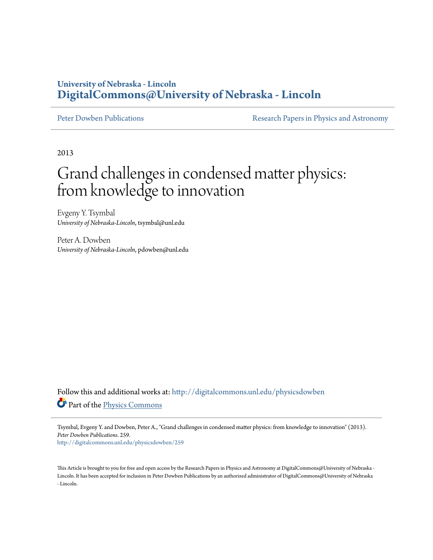### **University of Nebraska - Lincoln [DigitalCommons@University of Nebraska - Lincoln](http://digitalcommons.unl.edu?utm_source=digitalcommons.unl.edu%2Fphysicsdowben%2F259&utm_medium=PDF&utm_campaign=PDFCoverPages)**

[Peter Dowben Publications](http://digitalcommons.unl.edu/physicsdowben?utm_source=digitalcommons.unl.edu%2Fphysicsdowben%2F259&utm_medium=PDF&utm_campaign=PDFCoverPages) **[Research Papers in Physics and Astronomy](http://digitalcommons.unl.edu/physicsresearch?utm_source=digitalcommons.unl.edu%2Fphysicsdowben%2F259&utm_medium=PDF&utm_campaign=PDFCoverPages)** 

2013

# Grand challenges in condensed matter physics: from knowledge to innovation

Evgeny Y. Tsymbal *University of Nebraska-Lincoln*, tsymbal@unl.edu

Peter A. Dowben *University of Nebraska-Lincoln*, pdowben@unl.edu

Follow this and additional works at: [http://digitalcommons.unl.edu/physicsdowben](http://digitalcommons.unl.edu/physicsdowben?utm_source=digitalcommons.unl.edu%2Fphysicsdowben%2F259&utm_medium=PDF&utm_campaign=PDFCoverPages) Part of the [Physics Commons](http://network.bepress.com/hgg/discipline/193?utm_source=digitalcommons.unl.edu%2Fphysicsdowben%2F259&utm_medium=PDF&utm_campaign=PDFCoverPages)

Tsymbal, Evgeny Y. and Dowben, Peter A., "Grand challenges in condensed matter physics: from knowledge to innovation" (2013). *Peter Dowben Publications*. 259.

[http://digitalcommons.unl.edu/physicsdowben/259](http://digitalcommons.unl.edu/physicsdowben/259?utm_source=digitalcommons.unl.edu%2Fphysicsdowben%2F259&utm_medium=PDF&utm_campaign=PDFCoverPages)

This Article is brought to you for free and open access by the Research Papers in Physics and Astronomy at DigitalCommons@University of Nebraska - Lincoln. It has been accepted for inclusion in Peter Dowben Publications by an authorized administrator of DigitalCommons@University of Nebraska - Lincoln.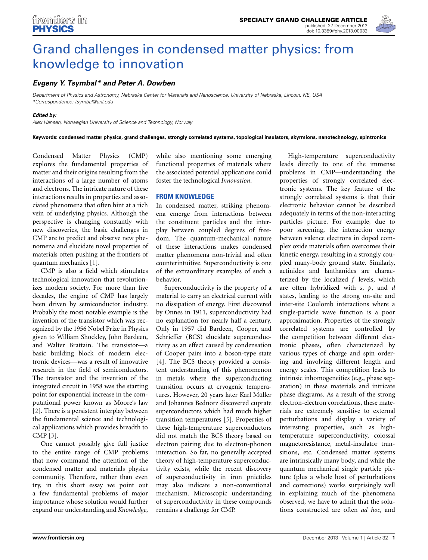

## [Grand challenges in condensed matter physics: from](http://www.frontiersin.org/journal/10.3389/fphy.2013.00032/full) knowledge to innovation

#### *[Evgeny Y. Tsymbal\\*](http://www.frontiersin.org/people/u/82706) and [Peter A. Dowben](http://www.frontiersin.org/people/u/110280)*

*Department of Physics and Astronomy, Nebraska Center for Materials and Nanoscience, University of Nebraska, Lincoln, NE, USA \*Correspondence: tsymbal@unl.edu*

#### *Edited by:*

*Alex Hansen, Norwegian University of Science and Technology, Norway*

**Keywords: condensed matter physics, grand challenges, strongly correlated systems, topological insulators, skyrmions, nanotechnology, spintronics**

Condensed Matter Physics (CMP) explores the fundamental properties of matter and their origins resulting from the interactions of a large number of atoms and electrons. The intricate nature of these interactions results in properties and associated phenomena that often hint at a rich vein of underlying physics. Although the perspective is changing constantly with new discoveries, the basic challenges in CMP are to predict and observe new phenomena and elucidate novel properties of materials often pushing at the frontiers of quantum mechanics [\[1\]](#page-3-0).

CMP is also a field which stimulates technological innovation that revolutionizes modern society. For more than five decades, the engine of CMP has largely been driven by semiconductor industry. Probably the most notable example is the invention of the transistor which was recognized by the 1956 Nobel Prize in Physics given to William Shockley, John Bardeen, and Walter Brattain. The transistor—a basic building block of modern electronic devices—was a result of innovative research in the field of semiconductors. The transistor and the invention of the integrated circuit in 1958 was the starting point for exponential increase in the computational power known as Moore's law [\[2](#page-3-1)]. There is a persistent interplay between the fundamental science and technological applications which provides breadth to CMP [\[3\]](#page-3-2).

One cannot possibly give full justice to the entire range of CMP problems that now command the attention of the condensed matter and materials physics community. Therefore, rather than even try, in this short essay we point out a few fundamental problems of major importance whose solution would further expand our understanding and *Knowledge*, while also mentioning some emerging functional properties of materials where the associated potential applications could foster the technological *Innovation*.

#### **FROM KNOWLEDGE**

In condensed matter, striking phenomena emerge from interactions between the constituent particles and the interplay between coupled degrees of freedom. The quantum-mechanical nature of these interactions makes condensed matter phenomena non-trivial and often counterintuitive. Superconductivity is one of the extraordinary examples of such a behavior.

Superconductivity is the property of a material to carry an electrical current with no dissipation of energy. First discovered by Onnes in 1911, superconductivity had no explanation for nearly half a century. Only in 1957 did Bardeen, Cooper, and Schrieffer (BCS) elucidate superconductivity as an effect caused by condensation of Cooper pairs into a boson-type state [\[4](#page-3-3)]. The BCS theory provided a consistent understanding of this phenomenon in metals where the superconducting transition occurs at cryogenic temperatures. However, 20 years later Karl Müller and Johannes Bednorz discovered cuprate superconductors which had much higher transition temperatures [\[5](#page-3-4)]. Properties of these high-temperature superconductors did not match the BCS theory based on electron pairing due to electron-phonon interaction. So far, no generally accepted theory of high-temperature superconductivity exists, while the recent discovery of superconductivity in iron pnictides may also indicate a non-conventional mechanism. Microscopic understanding of superconductivity in these compounds remains a challenge for CMP.

High-temperature superconductivity leads directly to one of the immense problems in CMP—understanding the properties of strongly correlated electronic systems. The key feature of the strongly correlated systems is that their electronic behavior cannot be described adequately in terms of the non-interacting particles picture. For example, due to poor screening, the interaction energy between valence electrons in doped complex oxide materials often overcomes their kinetic energy, resulting in a strongly coupled many-body ground state. Similarly, actinides and lanthanides are characterized by the localized *f* levels, which are often hybridized with *s*, *p*, and *d* states, leading to the strong on-site and inter-site Coulomb interactions where a single-particle wave function is a poor approximation. Properties of the strongly correlated systems are controlled by the competition between different electronic phases, often characterized by various types of charge and spin ordering and involving different length and energy scales. This competition leads to intrinsic inhomogeneities (e.g., phase separation) in these materials and intricate phase diagrams. As a result of the strong electron-electron correlations, these materials are extremely sensitive to external perturbations and display a variety of interesting properties, such as hightemperature superconductivity, colossal magnetoresistance, metal-insulator transitions, etc. Condensed matter systems are intrinsically many body, and while the quantum mechanical single particle picture (plus a whole host of perturbations and corrections) works surprisingly well in explaining much of the phenomena observed, we have to admit that the solutions constructed are often *ad hoc*, and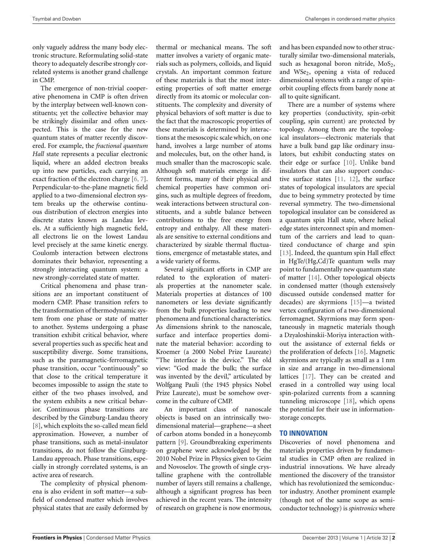only vaguely address the many body electronic structure. Reformulating solid-state theory to adequately describe strongly correlated systems is another grand challenge in CMP.

The emergence of non-trivial cooperative phenomena in CMP is often driven by the interplay between well-known constituents; yet the collective behavior may be strikingly dissimilar and often unexpected. This is the case for the new quantum states of matter recently discovered. For example, the *fractional quantum Hall* state represents a peculiar electronic liquid, where an added electron breaks up into new particles, each carrying an exact fraction of the electron charge [\[6,](#page-4-0) [7\]](#page-4-1). Perpendicular-to-the-plane magnetic field applied to a two-dimensional electron system breaks up the otherwise continuous distribution of electron energies into discrete states known as Landau levels. At a sufficiently high magnetic field, all electrons lie on the lowest Landau level precisely at the same kinetic energy. Coulomb interaction between electrons dominates their behavior, representing a strongly interacting quantum system: a new strongly-correlated state of matter.

Critical phenomena and phase transitions are an important constituent of modern CMP. Phase transition refers to the transformation of thermodynamic system from one phase or state of matter to another. Systems undergoing a phase transition exhibit critical behavior, where several properties such as specific heat and susceptibility diverge. Some transitions, such as the paramagnetic-ferromagnetic phase transition, occur "continuously" so that close to the critical temperature it becomes impossible to assign the state to either of the two phases involved, and the system exhibits a new critical behavior. Continuous phase transitions are described by the Ginzburg-Landau theory [\[8](#page-4-2)], which exploits the so-called mean field approximation. However, a number of phase transitions, such as metal-insulator transitions, do not follow the Ginzburg-Landau approach. Phase transitions, especially in strongly correlated systems, is an active area of research.

The complexity of physical phenomena is also evident in soft matter—a subfield of condensed matter which involves physical states that are easily deformed by thermal or mechanical means. The soft matter involves a variety of organic materials such as polymers, colloids, and liquid crystals. An important common feature of these materials is that the most interesting properties of soft matter emerge directly from its atomic or molecular constituents. The complexity and diversity of physical behaviors of soft matter is due to the fact that the macroscopic properties of these materials is determined by interactions at the mesoscopic scale which, on one hand, involves a large number of atoms and molecules, but, on the other hand, is much smaller than the macroscopic scale. Although soft materials emerge in different forms, many of their physical and chemical properties have common origins, such as multiple degrees of freedom, weak interactions between structural constituents, and a subtle balance between contributions to the free energy from entropy and enthalpy. All these materials are sensitive to external conditions and characterized by sizable thermal fluctuations, emergence of metastable states, and a wide variety of forms.

Several significant efforts in CMP are related to the exploration of materials properties at the nanometer scale. Materials properties at distances of 100 nanometers or less deviate significantly from the bulk properties leading to new phenomena and functional characteristics. As dimensions shrink to the nanoscale, surface and interface properties dominate the material behavior: according to Kroemer (a 2000 Nobel Prize Laureate) "The interface is the device." The old view: "God made the bulk; the surface was invented by the devil," articulated by Wolfgang Pauli (the 1945 physics Nobel Prize Laureate), must be somehow overcome in the culture of CMP.

An important class of nanoscale objects is based on an intrinsically twodimensional material—graphene—a sheet of carbon atoms bonded in a honeycomb pattern [\[9\]](#page-4-3). Groundbreaking experiments on graphene were acknowledged by the 2010 Nobel Prize in Physics given to Geim and Novoselov. The growth of single crystalline graphene with the controllable number of layers still remains a challenge, although a significant progress has been achieved in the recent years. The intensity of research on graphene is now enormous,

and has been expanded now to other structurally similar two-dimensional materials, such as hexagonal boron nitride,  $MoS<sub>2</sub>$ , and WSe<sub>2</sub>, opening a vista of reduced dimensional systems with a range of spinorbit coupling effects from barely none at all to quite significant.

There are a number of systems where key properties (conductivity, spin-orbit coupling, spin current) are protected by topology. Among them are the topological insulators—electronic materials that have a bulk band gap like ordinary insulators, but exhibit conducting states on their edge or surface [\[10](#page-4-4)]. Unlike band insulators that can also support conductive surface states [\[11](#page-4-5), [12\]](#page-4-6), the surface states of topological insulators are special due to being symmetry protected by time reversal symmetry. The two-dimensional topological insulator can be considered as a quantum spin Hall state, where helical edge states interconnect spin and momentum of the carriers and lead to quantized conductance of charge and spin [\[13\]](#page-4-7). Indeed, the quantum spin Hall effect in HgTe/(Hg,Cd)Te quantum wells may point to fundamentally new quantum state of matter [\[14\]](#page-4-8). Other topological objects in condensed matter (though extensively discussed outside condensed matter for decades) are skyrmions [\[15](#page-4-9)]—a twisted vertex configuration of a two-dimensional ferromagnet. Skyrmions may form spontaneously in magnetic materials though a Dzyaloshinskii-Moriya interaction without the assistance of external fields or the proliferation of defects [\[16\]](#page-4-10). Magnetic skyrmions are typically as small as a 1 nm in size and arrange in two-dimensional lattices [\[17](#page-4-11)]. They can be created and erased in a controlled way using local spin-polarized currents from a scanning tunneling microscope [\[18](#page-4-12)], which opens the potential for their use in informationstorage concepts.

#### **TO INNOVATION**

Discoveries of novel phenomena and materials properties driven by fundamental studies in CMP often are realized in industrial innovations. We have already mentioned the discovery of the transistor which has revolutionized the semiconductor industry. Another prominent example (though not of the same scope as semiconductor technology) is *spintronics* where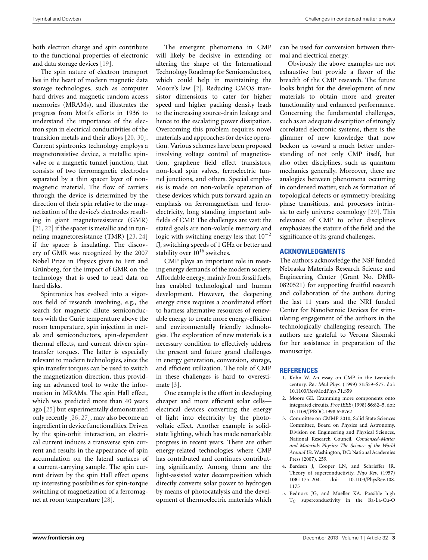both electron charge and spin contribute to the functional properties of electronic and data storage devices [\[19\]](#page-4-13).

The spin nature of electron transport lies in the heart of modern magnetic data storage technologies, such as computer hard drives and magnetic random access memories (MRAMs), and illustrates the progress from Mott's efforts in 1936 to understand the importance of the electron spin in electrical conductivities of the transition metals and their alloys [\[20](#page-4-14), [30](#page-4-15)]. Current spintronics technology employs a magnetoresistive device, a metallic spinvalve or a magnetic tunnel junction, that consists of two ferromagnetic electrodes separated by a thin spacer layer of nonmagnetic material. The flow of carriers through the device is determined by the direction of their spin relative to the magnetization of the device's electrodes resulting in giant magnetoresistance (GMR) [\[21,](#page-4-16) [22](#page-4-17)] if the spacer is metallic and in tunneling magnetoresistance (TMR) [\[23,](#page-4-18) [24](#page-4-19)] if the spacer is insulating. The discovery of GMR was recognized by the 2007 Nobel Prize in Physics given to Fert and Grünberg, for the impact of GMR on the technology that is used to read data on hard disks.

Spintronics has evolved into a vigorous field of research involving, e.g., the search for magnetic dilute semiconductors with the Curie temperature above the room temperature, spin injection in metals and semiconductors, spin-dependent thermal effects, and current driven spintransfer torques. The latter is especially relevant to modern technologies, since the spin transfer torques can be used to switch the magnetization direction, thus providing an advanced tool to write the information in MRAMs. The spin Hall effect, which was predicted more than 40 years ago [\[25](#page-4-20)] but experimentally demonstrated only recently [\[26,](#page-4-21) [27](#page-4-22)], may also become an ingredient in device functionalities. Driven by the spin-orbit interaction, an electrical current induces a transverse spin current and results in the appearance of spin accumulation on the lateral surfaces of a current-carrying sample. The spin current driven by the spin Hall effect opens up interesting possibilities for spin-torque switching of magnetization of a ferromagnet at room temperature [\[28\]](#page-4-23).

The emergent phenomena in CMP will likely be decisive in extending or altering the shape of the International Technology Roadmap for Semiconductors, which could help in maintaining the Moore's law [\[2](#page-3-1)]. Reducing CMOS transistor dimensions to cater for higher speed and higher packing density leads to the increasing source-drain leakage and hence to the escalating power dissipation. Overcoming this problem requires novel materials and approaches for device operation. Various schemes have been proposed involving voltage control of magnetization, graphene field effect transistors, non-local spin valves, ferroelectric tunnel junctions, and others. Special emphasis is made on non-volatile operation of these devices which puts forward again an emphasis on ferromagnetism and ferroelectricity, long standing important subfields of CMP. The challenges are vast: the stated goals are non-volatile memory and logic with switching energy less that  $10^{-2}$ fJ, switching speeds of 1 GHz or better and stability over  $10^{16}$  switches.

CMP plays an important role in meeting energy demands of the modern society. Affordable energy, mainly from fossil fuels, has enabled technological and human development. However, the deepening energy crisis requires a coordinated effort to harness alternative resources of renewable energy to create more energy-efficient and environmentally friendly technologies. The exploration of new materials is a necessary condition to effectively address the present and future grand challenges in energy generation, conversion, storage, and efficient utilization. The role of CMP in these challenges is hard to overestimate [\[3](#page-3-2)].

One example is the effort in developing cheaper and more efficient solar cells electrical devices converting the energy of light into electricity by the photovoltaic effect. Another example is solidstate lighting, which has made remarkable progress in recent years. There are other energy-related technologies where CMP has contributed and continues contributing significantly. Among them are the light-assisted water decomposition which directly converts solar power to hydrogen by means of photocatalysis and the development of thermoelectric materials which can be used for conversion between thermal and electrical energy.

Obviously the above examples are not exhaustive but provide a flavor of the breadth of the CMP research. The future looks bright for the development of new materials to obtain more and greater functionality and enhanced performance. Concerning the fundamental challenges, such as an adequate description of strongly correlated electronic systems, there is the glimmer of new knowledge that now beckon us toward a much better understanding of not only CMP itself, but also other disciplines, such as quantum mechanics generally. Moreover, there are analogies between phenomena occurring in condensed matter, such as formation of topological defects or symmetry-breaking phase transitions, and processes intrinsic to early universe cosmology [\[29](#page-4-24)]. This relevance of CMP to other disciplines emphasizes the stature of the field and the significance of its grand challenges.

#### **ACKNOWLEDGMENTS**

The authors acknowledge the NSF funded Nebraska Materials Research Science and Engineering Center (Grant No. DMR-0820521) for supporting fruitful research and collaboration of the authors during the last 11 years and the NRI funded Center for NanoFerroic Devices for stimulating engagement of the authors in the technologically challenging research. The authors are grateful to Verona Skomski for her assistance in preparation of the manuscript.

#### **REFERENCES**

- <span id="page-3-0"></span>1. Kohn W. An essay on CMP in the twentieth century. *Rev Mod Phys.* (1999) **71**:S59–S77. doi: 10.1103/RevModPhys.71.S59
- <span id="page-3-1"></span>2. Moore GE. Cramming more components onto integrated circuits. *Proc IEEE* (1998) **86**:82–5. doi: 10.1109/JPROC.1998.658762
- <span id="page-3-2"></span>3. Committee on CMMP 2010, Solid State Sciences Committee, Board on Physics and Astronomy, Division on Engineering and Physical Sciences, National Research Council. *Condensed-Matter and Materials Physics: The Science of the World Around Us*. Washington, DC: National Academies Press (2007). 259.
- <span id="page-3-3"></span>4. Bardeen J, Cooper LN, and Schrieffer JR. Theory of superconductivity. *Phys Rev.* (1957) **108**:1175–204. doi: 10.1103/PhysRev.108. 1175
- <span id="page-3-4"></span>5. Bednorz JG, and Mueller KA. Possible high T*<sup>C</sup>* superconductivity in the Ba-La-Cu-O